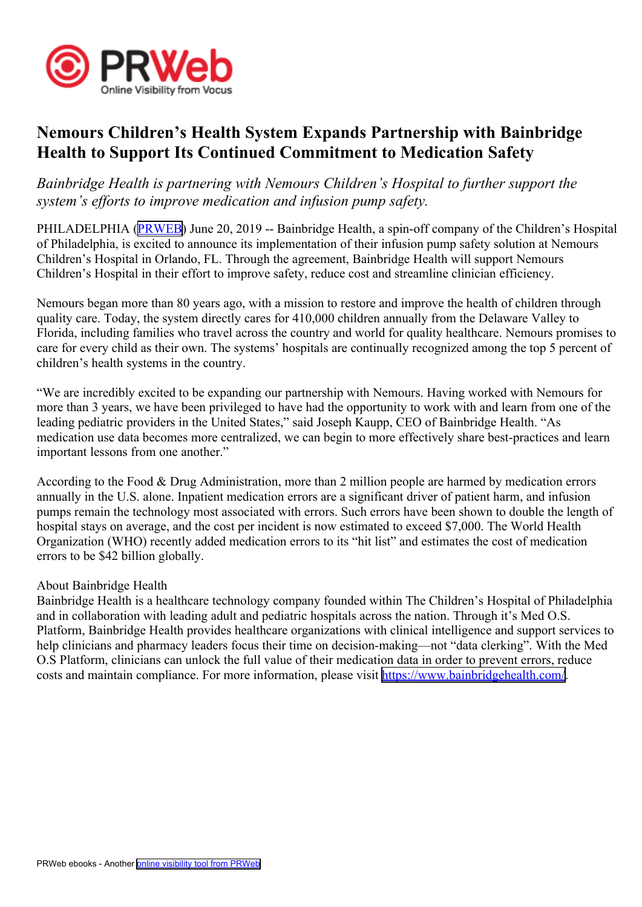

## **Nemours Children's Health System Expands Partnership with Bainbridge Health to Support Its Continued Commitment to Medication Safety**

*Bainbridge Health is partnering with Nemours Children's Hospital to further suppor<sup>t</sup> the system's efforts to improve medication and infusion pump safety.*

PHILADELPHIA ([PRWEB](http://www.prweb.com)) June 20, 2019 -- Bainbridge Health, a spin-off company of the Children's Hospital of Philadelphia, is excited to announce its implementation of their infusion pump safety solution at Nemours Children's Hospital in Orlando, FL. Through the agreement, Bainbridge Health will suppor<sup>t</sup> Nemours Children's Hospital in their effort to improve safety, reduce cost and streamline clinician efficiency.

Nemours began more than 80 years ago, with <sup>a</sup> mission to restore and improve the health of children through quality care. Today, the system directly cares for 410,000 children annually from the Delaware Valley to Florida, including families who travel across the country and world for quality healthcare. Nemours promises to care for every child as their own. The systems' hospitals are continually recognized among the top 5 percen<sup>t</sup> of children's health systems in the country.

"We are incredibly excited to be expanding our partnership with Nemours. Having worked with Nemours for more than 3 years, we have been privileged to have had the opportunity to work with and learn from one of the leading pediatric providers in the United States," said Joseph Kaupp, CEO of Bainbridge Health. "As medication use data becomes more centralized, we can begin to more effectively share best-practices and learn important lessons from one another."

According to the Food & Drug Administration, more than 2 million people are harmed by medication errors annually in the U.S. alone. Inpatient medication errors are <sup>a</sup> significant driver of patient harm, and infusion pumps remain the technology most associated with errors. Such errors have been shown to double the length of hospital stays on average, and the cost per incident is now estimated to exceed \$7,000. The World Health Organization (WHO) recently added medication errors to its "hit list" and estimates the cost of medication errors to be \$42 billion globally.

## About Bainbridge Health

Bainbridge Health is <sup>a</sup> healthcare technology company founded within The Children's Hospital of Philadelphia and in collaboration with leading adult and pediatric hospitals across the nation. Through it's Med O.S. Platform, Bainbridge Health provides healthcare organizations with clinical intelligence and suppor<sup>t</sup> services to help clinicians and pharmacy leaders focus their time on decision-making—not "data clerking". With the Med O.S Platform, clinicians can unlock the full value of their medication data in order to preven<sup>t</sup> errors, reduce costs and maintain compliance. For more information, please visit <https://www.bainbridgehealth.com/>.